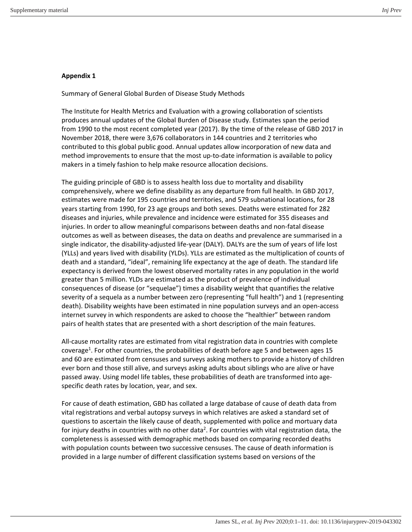## **Appendix 1**

Summary of General Global Burden of Disease Study Methods

The Institute for Health Metrics and Evaluation with a growing collaboration of scientists produces annual updates of the Global Burden of Disease study. Estimates span the period from 1990 to the most recent completed year (2017). By the time of the release of GBD 2017 in November 2018, there were 3,676 collaborators in 144 countries and 2 territories who contributed to this global public good. Annual updates allow incorporation of new data and method improvements to ensure that the most up-to-date information is available to policy makers in a timely fashion to help make resource allocation decisions.

The guiding principle of GBD is to assess health loss due to mortality and disability comprehensively, where we define disability as any departure from full health. In GBD 2017, estimates were made for 195 countries and territories, and 579 subnational locations, for 28 years starting from 1990, for 23 age groups and both sexes. Deaths were estimated for 282 diseases and injuries, while prevalence and incidence were estimated for 355 diseases and injuries. In order to allow meaningful comparisons between deaths and non-fatal disease outcomes as well as between diseases, the data on deaths and prevalence are summarised in a single indicator, the disability-adjusted life-year (DALY). DALYs are the sum of years of life lost (YLLs) and years lived with disability (YLDs). YLLs are estimated as the multiplication of counts of death and a standard, "ideal", remaining life expectancy at the age of death. The standard life expectancy is derived from the lowest observed mortality rates in any population in the world greater than 5 million. YLDs are estimated as the product of prevalence of individual consequences of disease (or "sequelae") times a disability weight that quantifies the relative severity of a sequela as a number between zero (representing "full health") and 1 (representing death). Disability weights have been estimated in nine population surveys and an open-access internet survey in which respondents are asked to choose the "healthier" between random pairs of health states that are presented with a short description of the main features.

All-cause mortality rates are estimated from vital registration data in countries with complete coverage<sup>1</sup>. For other countries, the probabilities of death before age 5 and between ages 15 and 60 are estimated from censuses and surveys asking mothers to provide a history of children ever born and those still alive, and surveys asking adults about siblings who are alive or have passed away. Using model life tables, these probabilities of death are transformed into agespecific death rates by location, year, and sex.

For cause of death estimation, GBD has collated a large database of cause of death data from vital registrations and verbal autopsy surveys in which relatives are asked a standard set of questions to ascertain the likely cause of death, supplemented with police and mortuary data for injury deaths in countries with no other data<sup>2</sup>. For countries with vital registration data, the completeness is assessed with demographic methods based on comparing recorded deaths with population counts between two successive censuses. The cause of death information is provided in a large number of different classification systems based on versions of the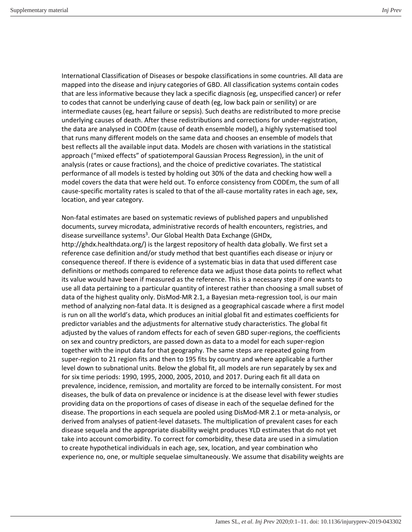International Classification of Diseases or bespoke classifications in some countries. All data are mapped into the disease and injury categories of GBD. All classification systems contain codes that are less informative because they lack a specific diagnosis (eg, unspecified cancer) or refer to codes that cannot be underlying cause of death (eg, low back pain or senility) or are intermediate causes (eg, heart failure or sepsis). Such deaths are redistributed to more precise underlying causes of death. After these redistributions and corrections for under-registration, the data are analysed in CODEm (cause of death ensemble model), a highly systematised tool that runs many different models on the same data and chooses an ensemble of models that best reflects all the available input data. Models are chosen with variations in the statistical approach ("mixed effects" of spatiotemporal Gaussian Process Regression), in the unit of analysis (rates or cause fractions), and the choice of predictive covariates. The statistical performance of all models is tested by holding out 30% of the data and checking how well a model covers the data that were held out. To enforce consistency from CODEm, the sum of all cause-specific mortality rates is scaled to that of the all-cause mortality rates in each age, sex, location, and year category.

Non-fatal estimates are based on systematic reviews of published papers and unpublished documents, survey microdata, administrative records of health encounters, registries, and disease surveillance systems<sup>3</sup>. Our Global Health Data Exchange (GHDx,

http://ghdx.healthdata.org/) is the largest repository of health data globally. We first set a reference case definition and/or study method that best quantifies each disease or injury or consequence thereof. If there is evidence of a systematic bias in data that used different case definitions or methods compared to reference data we adjust those data points to reflect what its value would have been if measured as the reference. This is a necessary step if one wants to use all data pertaining to a particular quantity of interest rather than choosing a small subset of data of the highest quality only. DisMod-MR 2.1, a Bayesian meta-regression tool, is our main method of analyzing non-fatal data. It is designed as a geographical cascade where a first model is run on all the world's data, which produces an initial global fit and estimates coefficients for predictor variables and the adjustments for alternative study characteristics. The global fit adjusted by the values of random effects for each of seven GBD super-regions, the coefficients on sex and country predictors, are passed down as data to a model for each super-region together with the input data for that geography. The same steps are repeated going from super-region to 21 region fits and then to 195 fits by country and where applicable a further level down to subnational units. Below the global fit, all models are run separately by sex and for six time periods: 1990, 1995, 2000, 2005, 2010, and 2017. During each fit all data on prevalence, incidence, remission, and mortality are forced to be internally consistent. For most diseases, the bulk of data on prevalence or incidence is at the disease level with fewer studies providing data on the proportions of cases of disease in each of the sequelae defined for the disease. The proportions in each sequela are pooled using DisMod-MR 2.1 or meta-analysis, or derived from analyses of patient-level datasets. The multiplication of prevalent cases for each disease sequela and the appropriate disability weight produces YLD estimates that do not yet take into account comorbidity. To correct for comorbidity, these data are used in a simulation to create hypothetical individuals in each age, sex, location, and year combination who experience no, one, or multiple sequelae simultaneously. We assume that disability weights are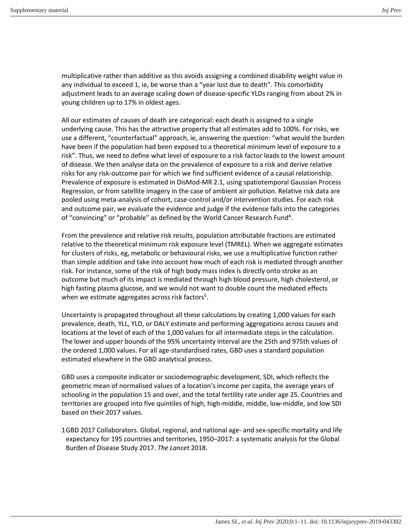multiplicative rather than additive as this avoids assigning a combined disability weight value in any individual to exceed 1, ie, be worse than a "year lost due to death". This comorbidity adjustment leads to an average scaling down of disease-specific YLDs ranging from about 2% in young children up to 17% in oldest ages.

All our estimates of causes of death are categorical: each death is assigned to a single underlying cause. This has the attractive property that all estimates add to 100%. For risks, we use a different, "counterfactual" approach, ie, answering the question: "what would the burden have been if the population had been exposed to a theoretical minimum level of exposure to a risk". Thus, we need to define what level of exposure to a risk factor leads to the lowest amount of disease. We then analyse data on the prevalence of exposure to a risk and derive relative risks for any risk-outcome pair for which we find sufficient evidence of a causal relationship. Prevalence of exposure is estimated in DisMod-MR 2.1, using spatiotemporal Gaussian Process Regression, or from satellite imagery in the case of ambient air pollution. Relative risk data are pooled using meta-analysis of cohort, case-control and/or intervention studies. For each risk and outcome pair, we evaluate the evidence and judge if the evidence falls into the categories of "convincing" or "probable" as defined by the World Cancer Research Fund<sup>4</sup>.

From the prevalence and relative risk results, population attributable fractions are estimated relative to the theoretical minimum risk exposure level (TMREL). When we aggregate estimates for clusters of risks, eg, metabolic or behavioural risks, we use a multiplicative function rather than simple addition and take into account how much of each risk is mediated through another risk. For instance, some of the risk of high body mass index is directly onto stroke as an outcome but much of its impact is mediated through high blood pressure, high cholesterol, or high fasting plasma glucose, and we would not want to double count the mediated effects when we estimate aggregates across risk factors<sup>5</sup>.

Uncertainty is propagated throughout all these calculations by creating 1,000 values for each prevalence, death, YLL, YLD, or DALY estimate and performing aggregations across causes and locations at the level of each of the 1,000 values for all intermediate steps in the calculation. The lower and upper bounds of the 95% uncertainty interval are the 25th and 975th values of the ordered 1,000 values. For all age-standardised rates, GBD uses a standard population estimated elsewhere in the GBD analytical process.

GBD uses a composite indicator or sociodemographic development, SDI, which reflects the geometric mean of normalised values of a location's income per capita, the average years of schooling in the population 15 and over, and the total fertility rate under age 25. Countries and territories are grouped into five quintiles of high, high-middle, middle, low-middle, and low SDI based on their 2017 values.

1 GBD 2017 Collaborators. Global, regional, and national age- and sex-specific mortality and life expectancy for 195 countries and territories, 1950–2017: a systematic analysis for the Global Burden of Disease Study 2017. *The Lancet* 2018.